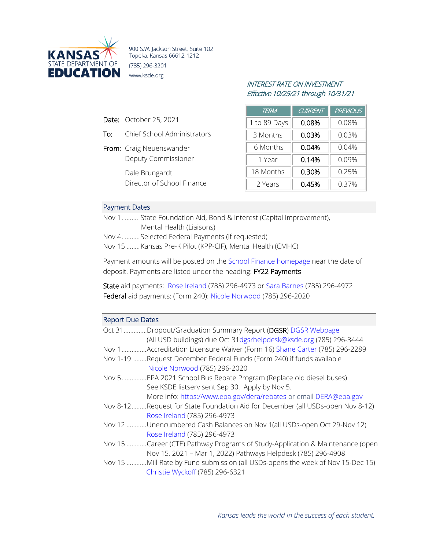

900 S.W. Jackson Street, Suite 102 Topeka, Kansas 66612-1212 (785) 296-3201 www.ksde.org

## INTEREST RATE ON INVESTMENT Effective 10/25/21 through 10/31/21

| <b>TERM</b>  | <b>CURRENT</b> | <b>PREVIOUS</b> |
|--------------|----------------|-----------------|
| 1 to 89 Days | 0.08%          | 0.08%           |
| 3 Months     | 0.03%          | 0.03%           |
| 6 Months     | 0.04%          | 0.04%           |
| 1 Year       | 0.14%          | 0.09%           |
| 18 Months    | 0.30%          | 0.25%           |
| 2 Years      | 0.45%          | 0.37%           |

## Payment Dates

Date: October 25, 2021

From: Craig Neuenswander

Dale Brungardt

To: Chief School Administrators

Deputy Commissioner

Director of School Finance

Nov 1...........State Foundation Aid, Bond & Interest (Capital Improvement), Mental Health (Liaisons)

Nov 4...........Selected Federal Payments (if requested)

Nov 15 ........Kansas Pre-K Pilot (KPP-CIF), Mental Health (CMHC)

Payment amounts will be posted on the [School Finance homepage](http://www.ksde.org/Agency/Fiscal-and-Administrative-Services/School-Finance/Payment-Information) near the date of deposit. Payments are listed under the heading: FY22 Payments

State aid payments: [Rose Ireland](mailto:rireland@ksde.org) (785) 296-4973 or [Sara Barnes](mailto:sbarnes@ksde.org) (785) 296-4972 Federal aid payments: (Form 240): [Nicole Norwood](mailto:nnorwood@ksde.org) (785) 296-2020

## Report Due Dates

| Oct 31   | Dropout/Graduation Summary Report (DGSR) DGSR Webpage<br>(All USD buildings) due Oct 31 dgsrhelpdesk@ksde.org (785) 296-3444           |
|----------|----------------------------------------------------------------------------------------------------------------------------------------|
| Nov 1    | Accreditation Licensure Waiver (Form 16) Shane Carter (785) 296-2289                                                                   |
|          | Nov 1-19 Request December Federal Funds (Form 240) if funds available                                                                  |
|          | Nicole Norwood (785) 296-2020                                                                                                          |
| Nov 5    | EPA 2021 School Bus Rebate Program (Replace old diesel buses).<br>See KSDE listserv sent Sep 30. Apply by Nov 5.                       |
|          | More info: https://www.epa.gov/dera/rebates or email DERA@epa.gov                                                                      |
| Nov 8-12 | Request for State Foundation Aid for December (all USDs-open Nov 8-12).<br>Rose Ireland (785) 296-4973                                 |
| Nov 12   | .Unencumbered Cash Balances on Nov 1(all USDs-open Oct 29-Nov 12)<br>Rose Ireland (785) 296-4973                                       |
| Nov 15   | Career (CTE) Pathway Programs of Study-Application & Maintenance (open<br>Nov 15, 2021 - Mar 1, 2022) Pathways Helpdesk (785) 296-4908 |
| Nov 15   | .Mill Rate by Fund submission (all USDs-opens the week of Nov 15-Dec 15)<br>Christie Wyckoff (785) 296-6321                            |
|          |                                                                                                                                        |